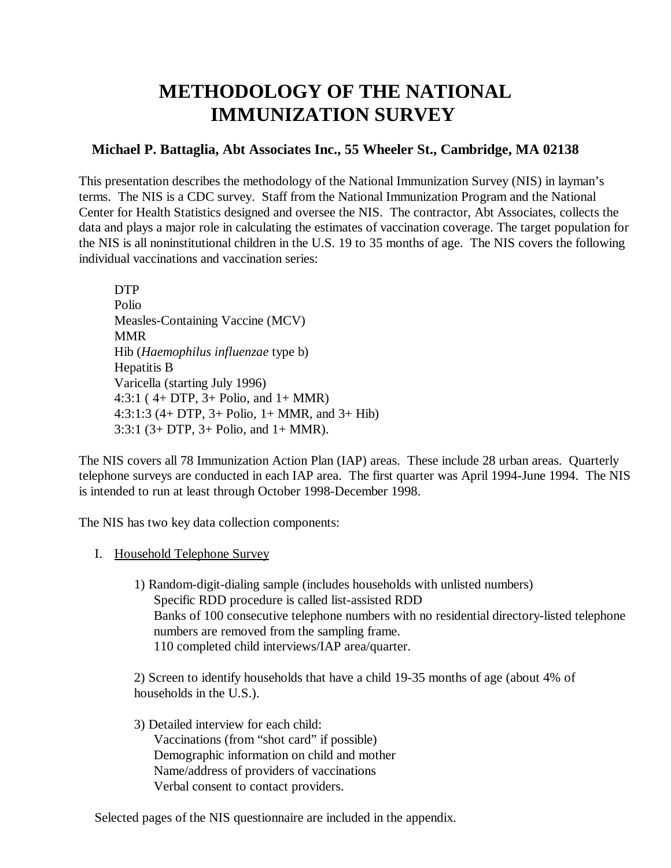# **METHODOLOGY OF THE NATIONAL IMMUNIZATION SURVEY**

# **Michael P. Battaglia, Abt Associates Inc., 55 Wheeler St., Cambridge, MA 02138**

This presentation describes the methodology of the National Immunization Survey (NIS) in layman's terms. The NIS is a CDC survey. Staff from the National Immunization Program and the National Center for Health Statistics designed and oversee the NIS. The contractor, Abt Associates, collects the data and plays a major role in calculating the estimates of vaccination coverage. The target population for the NIS is all noninstitutional children in the U.S. 19 to 35 months of age. The NIS covers the following individual vaccinations and vaccination series:

DTP Polio Measles-Containing Vaccine (MCV) MMR Hib (*Haemophilus influenzae* type b) Hepatitis B Varicella (starting July 1996) 4:3:1 ( 4+ DTP, 3+ Polio, and 1+ MMR) 4:3:1:3 (4+ DTP, 3+ Polio, 1+ MMR, and 3+ Hib) 3:3:1 (3+ DTP, 3+ Polio, and 1+ MMR).

The NIS covers all 78 Immunization Action Plan (IAP) areas. These include 28 urban areas. Quarterly telephone surveys are conducted in each IAP area. The first quarter was April 1994-June 1994. The NIS is intended to run at least through October 1998-December 1998.

The NIS has two key data collection components:

I. Household Telephone Survey

1) Random-digit-dialing sample (includes households with unlisted numbers) Specific RDD procedure is called list-assisted RDD Banks of 100 consecutive telephone numbers with no residential directory-listed telephone numbers are removed from the sampling frame. 110 completed child interviews/IAP area/quarter.

2) Screen to identify households that have a child 19-35 months of age (about 4% of households in the U.S.).

3) Detailed interview for each child: Vaccinations (from "shot card" if possible) Demographic information on child and mother Name/address of providers of vaccinations Verbal consent to contact providers.

Selected pages of the NIS questionnaire are included in the appendix.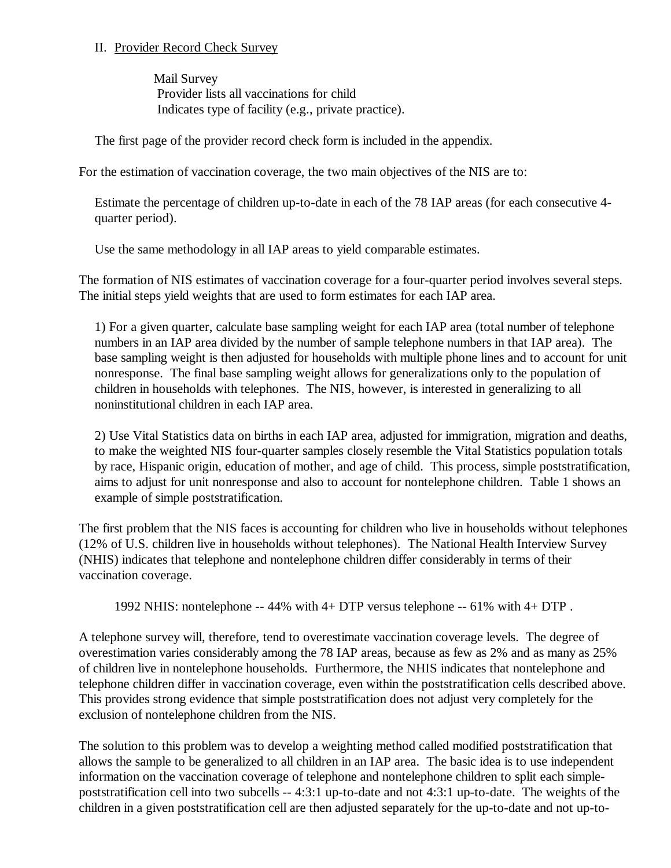### II. Provider Record Check Survey

Mail Survey Provider lists all vaccinations for child Indicates type of facility (e.g., private practice).

The first page of the provider record check form is included in the appendix.

For the estimation of vaccination coverage, the two main objectives of the NIS are to:

Estimate the percentage of children up-to-date in each of the 78 IAP areas (for each consecutive 4 quarter period).

Use the same methodology in all IAP areas to yield comparable estimates.

The formation of NIS estimates of vaccination coverage for a four-quarter period involves several steps. The initial steps yield weights that are used to form estimates for each IAP area.

1) For a given quarter, calculate base sampling weight for each IAP area (total number of telephone numbers in an IAP area divided by the number of sample telephone numbers in that IAP area). The base sampling weight is then adjusted for households with multiple phone lines and to account for unit nonresponse. The final base sampling weight allows for generalizations only to the population of children in households with telephones. The NIS, however, is interested in generalizing to all noninstitutional children in each IAP area.

2) Use Vital Statistics data on births in each IAP area, adjusted for immigration, migration and deaths, to make the weighted NIS four-quarter samples closely resemble the Vital Statistics population totals by race, Hispanic origin, education of mother, and age of child. This process, simple poststratification, aims to adjust for unit nonresponse and also to account for nontelephone children. Table 1 shows an example of simple poststratification.

The first problem that the NIS faces is accounting for children who live in households without telephones (12% of U.S. children live in households without telephones). The National Health Interview Survey (NHIS) indicates that telephone and nontelephone children differ considerably in terms of their vaccination coverage.

1992 NHIS: nontelephone -- 44% with 4+ DTP versus telephone -- 61% with 4+ DTP .

A telephone survey will, therefore, tend to overestimate vaccination coverage levels. The degree of overestimation varies considerably among the 78 IAP areas, because as few as 2% and as many as 25% of children live in nontelephone households. Furthermore, the NHIS indicates that nontelephone and telephone children differ in vaccination coverage, even within the poststratification cells described above. This provides strong evidence that simple poststratification does not adjust very completely for the exclusion of nontelephone children from the NIS.

The solution to this problem was to develop a weighting method called modified poststratification that allows the sample to be generalized to all children in an IAP area. The basic idea is to use independent information on the vaccination coverage of telephone and nontelephone children to split each simplepoststratification cell into two subcells -- 4:3:1 up-to-date and not 4:3:1 up-to-date. The weights of the children in a given poststratification cell are then adjusted separately for the up-to-date and not up-to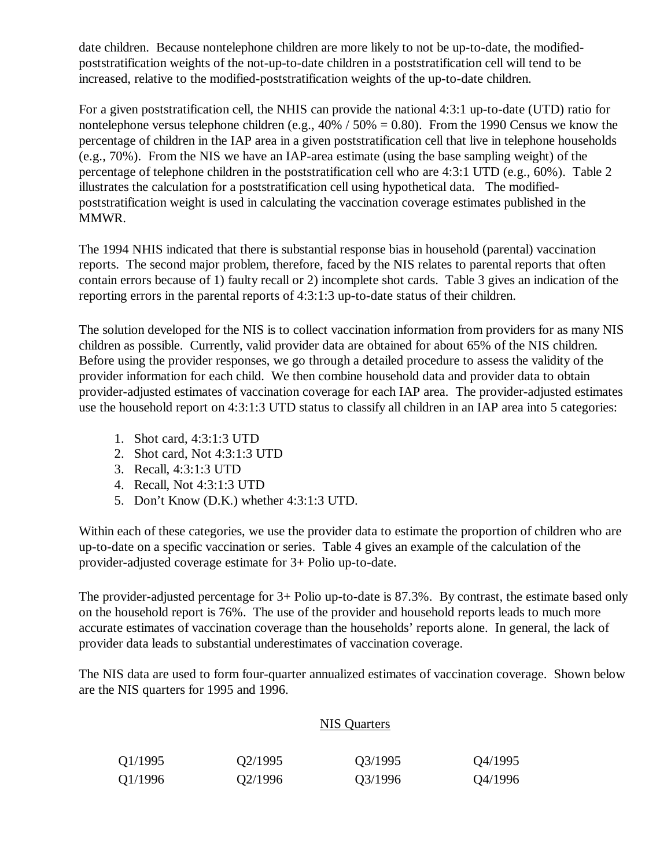date children. Because nontelephone children are more likely to not be up-to-date, the modifiedpoststratification weights of the not-up-to-date children in a poststratification cell will tend to be increased, relative to the modified-poststratification weights of the up-to-date children.

For a given poststratification cell, the NHIS can provide the national 4:3:1 up-to-date (UTD) ratio for nontelephone versus telephone children (e.g.,  $40\%$  /  $50\% = 0.80$ ). From the 1990 Census we know the percentage of children in the IAP area in a given poststratification cell that live in telephone households (e.g., 70%). From the NIS we have an IAP-area estimate (using the base sampling weight) of the percentage of telephone children in the poststratification cell who are 4:3:1 UTD (e.g., 60%). Table 2 illustrates the calculation for a poststratification cell using hypothetical data. The modifiedpoststratification weight is used in calculating the vaccination coverage estimates published in the MMWR.

The 1994 NHIS indicated that there is substantial response bias in household (parental) vaccination reports. The second major problem, therefore, faced by the NIS relates to parental reports that often contain errors because of 1) faulty recall or 2) incomplete shot cards. Table 3 gives an indication of the reporting errors in the parental reports of 4:3:1:3 up-to-date status of their children.

The solution developed for the NIS is to collect vaccination information from providers for as many NIS children as possible. Currently, valid provider data are obtained for about 65% of the NIS children. Before using the provider responses, we go through a detailed procedure to assess the validity of the provider information for each child. We then combine household data and provider data to obtain provider-adjusted estimates of vaccination coverage for each IAP area. The provider-adjusted estimates use the household report on 4:3:1:3 UTD status to classify all children in an IAP area into 5 categories:

- 1. Shot card, 4:3:1:3 UTD
- 2. Shot card, Not 4:3:1:3 UTD
- 3. Recall, 4:3:1:3 UTD
- 4. Recall, Not 4:3:1:3 UTD
- 5. Don't Know (D.K.) whether 4:3:1:3 UTD.

Within each of these categories, we use the provider data to estimate the proportion of children who are up-to-date on a specific vaccination or series. Table 4 gives an example of the calculation of the provider-adjusted coverage estimate for 3+ Polio up-to-date.

The provider-adjusted percentage for 3+ Polio up-to-date is 87.3%. By contrast, the estimate based only on the household report is 76%. The use of the provider and household reports leads to much more accurate estimates of vaccination coverage than the households' reports alone. In general, the lack of provider data leads to substantial underestimates of vaccination coverage.

The NIS data are used to form four-quarter annualized estimates of vaccination coverage. Shown below are the NIS quarters for 1995 and 1996.

### NIS Quarters

| Q1/1995 | Q2/1995 | Q3/1995 | Q4/1995 |
|---------|---------|---------|---------|
| Q1/1996 | Q2/1996 | Q3/1996 | Q4/1996 |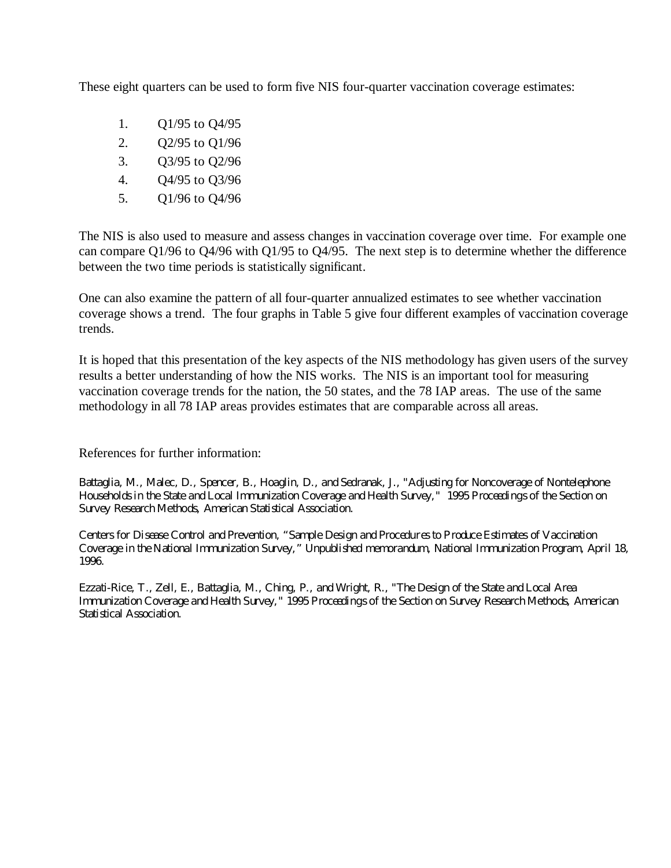These eight quarters can be used to form five NIS four-quarter vaccination coverage estimates:

- 1. Q1/95 to Q4/95
- $2<sup>1</sup>$ Q2/95 to Q1/96
- $\mathfrak{Z}$ . Q3/95 to Q2/96
- $4.$ Q4/95 to Q3/96
- 5. Q1/96 to Q4/96

The NIS is also used to measure and assess changes in vaccination coverage over time. For example one can compare Q1/96 to Q4/96 with Q1/95 to Q4/95. The next step is to determine whether the difference between the two time periods is statistically significant.

One can also examine the pattern of all four-quarter annualized estimates to see whether vaccination coverage shows a trend. The four graphs in Table 5 give four different examples of vaccination coverage trends.

It is hoped that this presentation of the key aspects of the NIS methodology has given users of the survey results a better understanding of how the NIS works. The NIS is an important tool for measuring vaccination coverage trends for the nation, the 50 states, and the 78 IAP areas. The use of the same methodology in all 78 IAP areas provides estimates that are comparable across all areas.

References for further information:

Battaglia, M., Malec, D., Spencer, B., Hoaglin, D., and Sedranak, J., "Adjusting for Noncoverage of Nontelephone Households in the State and Local Immunization Coverage and Health Survey," 1995 Proceedings of the Section on Survey Research Methods, American Statistical Association.

Centers for Disease Control and Prevention, "Sample Design and Procedures to Produce Estimates of Vaccination Coverage in the National Immunization Survey," Unpublished memorandum, National Immunization Program, April 18, 1996.

Ezzati-Rice, T., Zell, E., Battaglia, M., Ching, P., and Wright, R., "The Design of the State and Local Area Immunization Coverage and Health Survey," 1995 Proceedings of the Section on Survey Research Methods, American Statistical Association.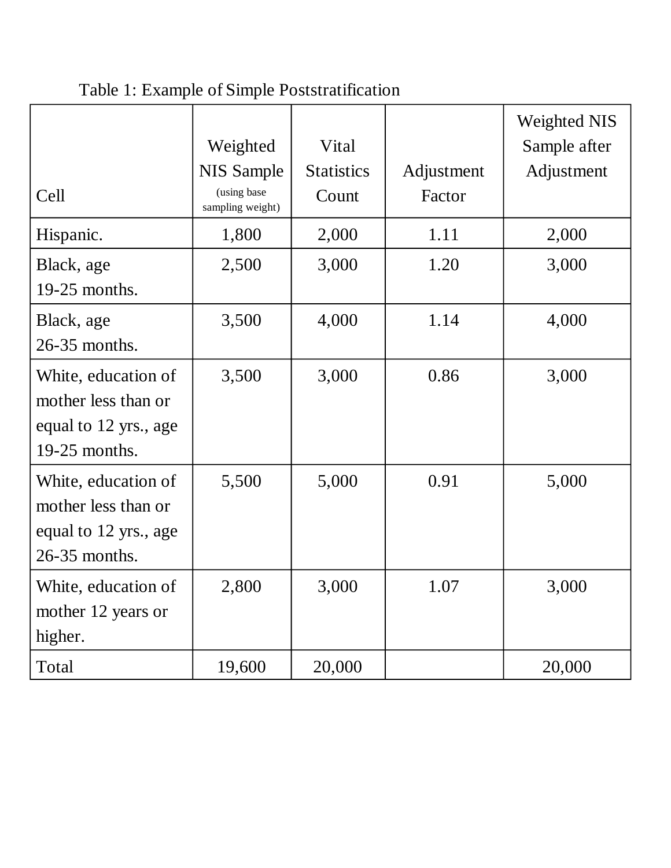|                                                                                      | Weighted<br><b>NIS Sample</b>   | Vital<br><b>Statistics</b> | Adjustment | <b>Weighted NIS</b><br>Sample after<br>Adjustment |
|--------------------------------------------------------------------------------------|---------------------------------|----------------------------|------------|---------------------------------------------------|
| Cell                                                                                 | (using base<br>sampling weight) | Count                      | Factor     |                                                   |
| Hispanic.                                                                            | 1,800                           | 2,000                      | 1.11       | 2,000                                             |
| Black, age<br>19-25 months.                                                          | 2,500                           | 3,000                      | 1.20       | 3,000                                             |
| Black, age<br>26-35 months.                                                          | 3,500                           | 4,000                      | 1.14       | 4,000                                             |
| White, education of<br>mother less than or<br>equal to 12 yrs., age<br>19-25 months. | 3,500                           | 3,000                      | 0.86       | 3,000                                             |
| White, education of<br>mother less than or<br>equal to 12 yrs., age<br>26-35 months. | 5,500                           | 5,000                      | 0.91       | 5,000                                             |
| White, education of<br>mother 12 years or<br>higher.                                 | 2,800                           | 3,000                      | 1.07       | 3,000                                             |
| Total                                                                                | 19,600                          | 20,000                     |            | 20,000                                            |

Table 1: Example of Simple Poststratification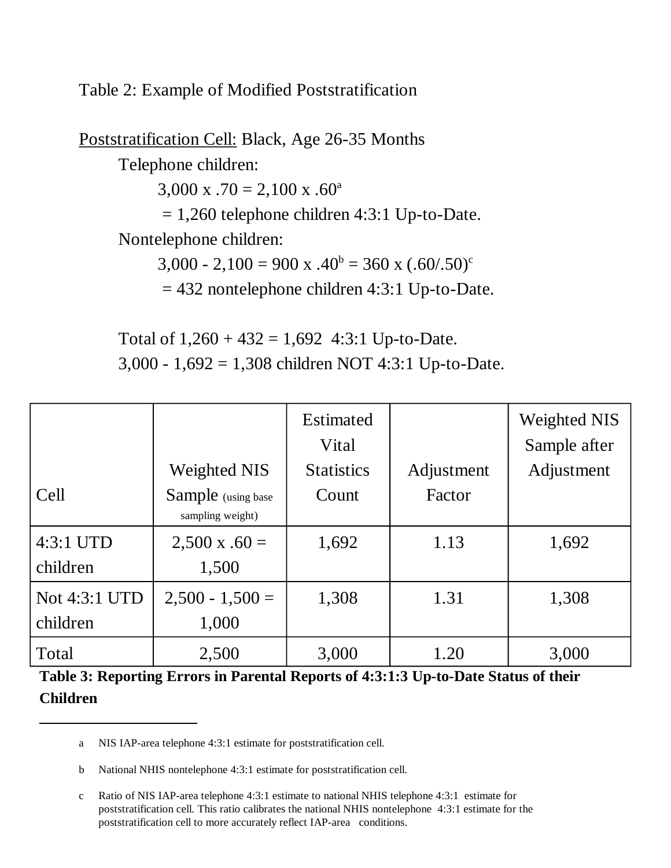Table 2: Example of Modified Poststratification

Poststratification Cell: Black, Age 26-35 Months Telephone children:  $3,000 \text{ x } .70 = 2,100 \text{ x } .60^{\text{a}}$  $= 1,260$  telephone children 4:3:1 Up-to-Date. Nontelephone children:  $3,000 - 2,100 = 900 \text{ x } .40^{\circ} = 360 \text{ x } (.60/.50)^{\circ}$  $= 432$  nontelephone children 4:3:1 Up-to-Date.

Total of  $1,260 + 432 = 1,692$  4:3:1 Up-to-Date. 3,000 - 1,692 = 1,308 children NOT 4:3:1 Up-to-Date.

|               |                                         | <b>Estimated</b><br>Vital |            | <b>Weighted NIS</b><br>Sample after |
|---------------|-----------------------------------------|---------------------------|------------|-------------------------------------|
|               | <b>Weighted NIS</b>                     | <b>Statistics</b>         | Adjustment | Adjustment                          |
| Cell          | Sample (using base)<br>sampling weight) | Count                     | Factor     |                                     |
| 4:3:1 UTD     | $2,500 \times .60 =$                    | 1,692                     | 1.13       | 1,692                               |
| children      | 1,500                                   |                           |            |                                     |
| Not 4:3:1 UTD | $2,500 - 1,500 =$                       | 1,308                     | 1.31       | 1,308                               |
| children      | 1,000                                   |                           |            |                                     |
| Total         | 2,500                                   | 3,000                     | 1.20       | 3,000                               |

**Table 3: Reporting Errors in Parental Reports of 4:3:1:3 Up-to-Date Status of their Children** 

a NIS IAP-area telephone 4:3:1 estimate for poststratification cell.

b National NHIS nontelephone 4:3:1 estimate for poststratification cell.

c Ratio of NIS IAP-area telephone 4:3:1 estimate to national NHIS telephone 4:3:1 estimate for poststratification cell. This ratio calibrates the national NHIS nontelephone 4:3:1 estimate for the poststratification cell to more accurately reflect IAP-area conditions.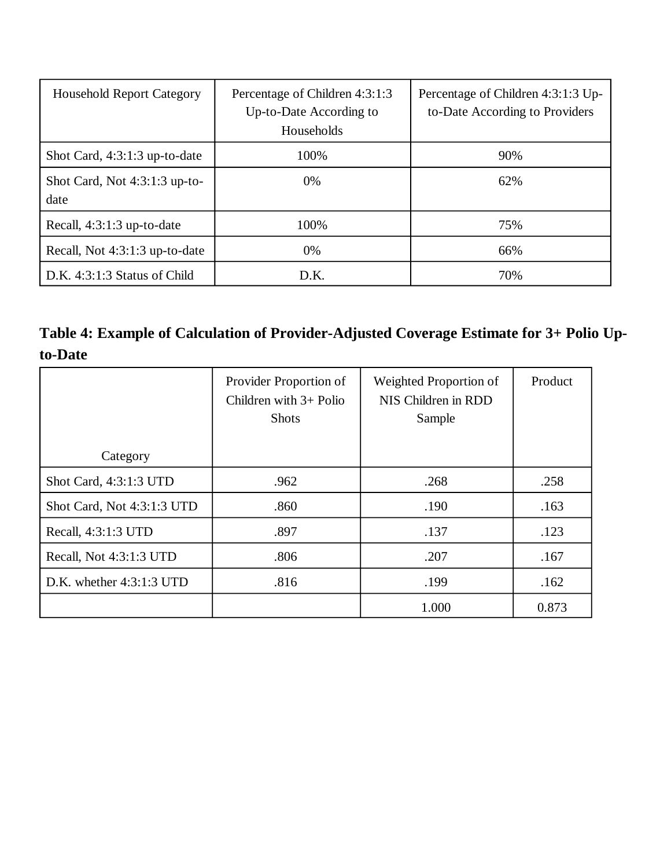| <b>Household Report Category</b>        | Percentage of Children 4:3:1:3<br>Up-to-Date According to<br>Households | Percentage of Children 4:3:1:3 Up-<br>to-Date According to Providers |
|-----------------------------------------|-------------------------------------------------------------------------|----------------------------------------------------------------------|
| Shot Card, $4:3:1:3$ up-to-date         | 100%                                                                    | 90%                                                                  |
| Shot Card, Not $4:3:1:3$ up-to-<br>date | 0%                                                                      | 62%                                                                  |
| Recall, $4:3:1:3$ up-to-date            | 100%                                                                    | 75%                                                                  |
| Recall, Not 4:3:1:3 up-to-date          | 0%                                                                      | 66%                                                                  |
| $D.K. 4:3:1:3$ Status of Child          | D.K.                                                                    | 70%                                                                  |

**Table 4: Example of Calculation of Provider-Adjusted Coverage Estimate for 3+ Polio Upto-Date** 

|                            | Provider Proportion of<br>Children with $3+$ Polio<br><b>Shots</b> | Weighted Proportion of<br>NIS Children in RDD<br>Sample | Product |
|----------------------------|--------------------------------------------------------------------|---------------------------------------------------------|---------|
| Category                   |                                                                    |                                                         |         |
| Shot Card, 4:3:1:3 UTD     | .962                                                               | .268                                                    | .258    |
| Shot Card, Not 4:3:1:3 UTD | .860                                                               | .190                                                    | .163    |
| Recall, 4:3:1:3 UTD        | .897                                                               | .137                                                    | .123    |
| Recall, Not 4:3:1:3 UTD    | .806                                                               | .207                                                    | .167    |
| D.K. whether $4:3:1:3$ UTD | .816                                                               | .199                                                    | .162    |
|                            |                                                                    | 1.000                                                   | 0.873   |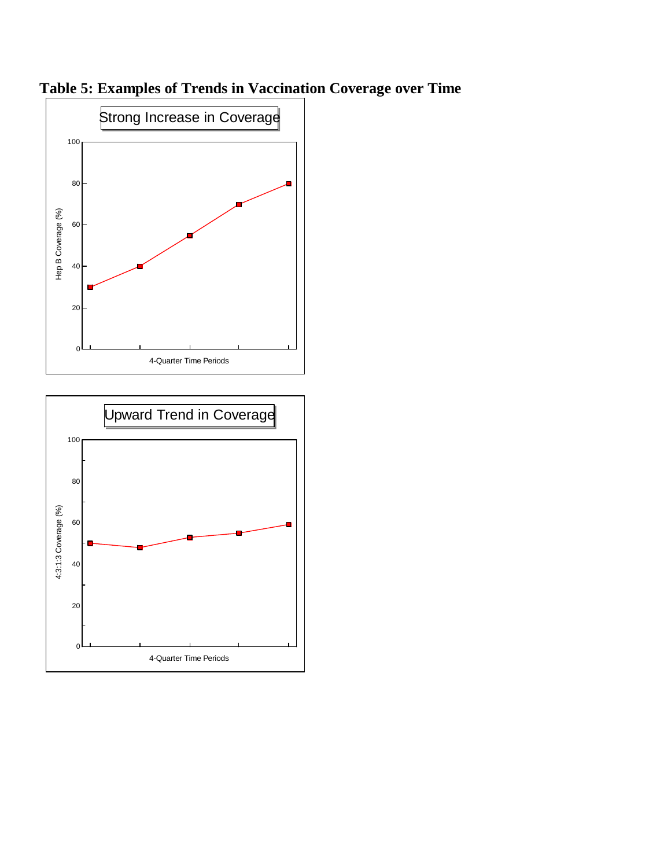

4-Quarter Time Periods

**Table 5: Examples of Trends in Vaccination Coverage over Time**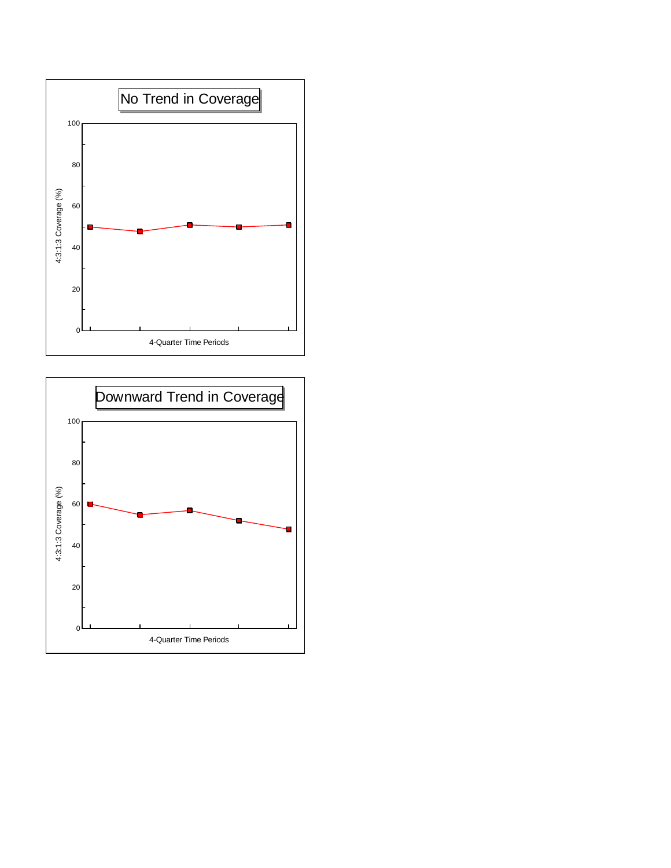

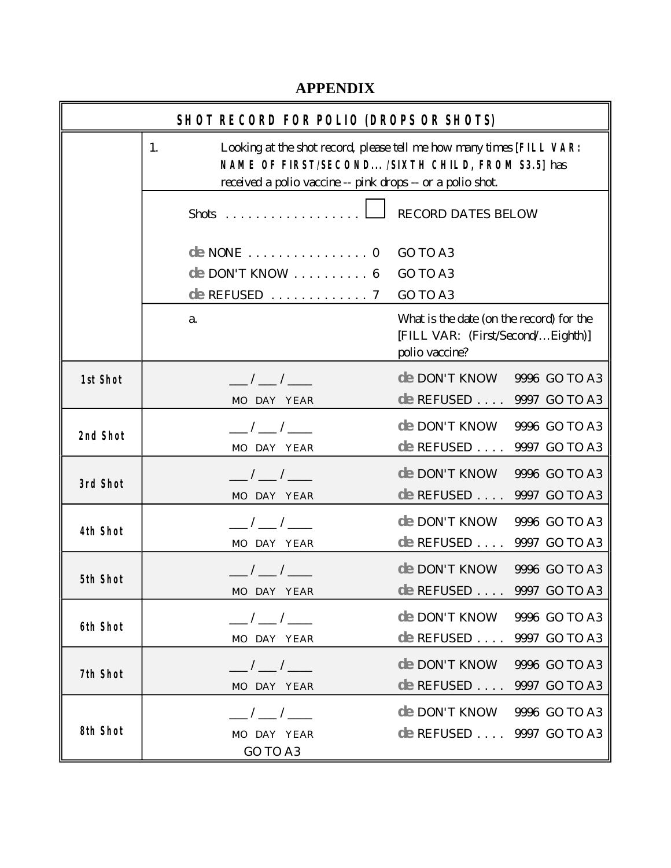# **APPENDIX**

r.

| <b>SHOTRECORD FOR POLIO (DROPS OR SHOTS)</b> |                                                                                                                                                                                               |                                                                                                 |  |  |
|----------------------------------------------|-----------------------------------------------------------------------------------------------------------------------------------------------------------------------------------------------|-------------------------------------------------------------------------------------------------|--|--|
|                                              | Looking at the shot record, please tell me how many times [FILL VAR:<br>1.<br>NAME OF FIRST/SECOND /SIXTH CHILD, FROM S3.5] has<br>received a polio vaccine -- pink drops -- or a polio shot. |                                                                                                 |  |  |
|                                              | $\text{shots}$                                                                                                                                                                                | RECORD DATES BELOW                                                                              |  |  |
|                                              | $de \text{ } \text{NOTE} \dots \dots \dots \dots \dots \dots 0$<br>$de$ DON'TKNOW  6                                                                                                          | GO TO A3<br>GO TO A3<br>GO TO A3                                                                |  |  |
|                                              | a.                                                                                                                                                                                            | What is the date (on the record) for the<br>[FILL VAR: (First/Second/Eighth)]<br>polio vaccine? |  |  |
| 1st Shot                                     | $\frac{\frac{1}{2}}{2\pi}$<br>MO DAY YEAR                                                                                                                                                     | de DON'T KNOW 9996 GO TO A3<br>de REFUSED  9997 GO TO A3                                        |  |  |
| 2nd Shot                                     | ___/___/___<br>MO DAY YEAR                                                                                                                                                                    | $de$ DON'T KNOW 9996 GO TO A3<br>$de$ REFUSED  9997 GO TO A3                                    |  |  |
| 3rd Shot                                     | $\frac{\ }{\ }$ / $\frac{\ }{\ }$ / $\frac{\ }{\ }$<br>MO DAY YEAR                                                                                                                            | de DON'T KNOW<br>9996 GO TO A3<br>$de$ REFUSED  9997 GO TO A3                                   |  |  |
| <b>4th Shot</b>                              | $\frac{\frac{1}{2}}{2}$ / $\frac{\frac{1}{2}}{2}$<br>MO DAY YEAR                                                                                                                              | de DON'T KNOW<br>9996 GO TO A3<br>$de$ REFUSED  9997 GO TO A3                                   |  |  |
| 5th Shot                                     | $\frac{\frac{1}{2}}{2}$ / $\frac{1}{2}$ / $\frac{1}{2}$<br>MO DAY YEAR                                                                                                                        | $de$ DON'T KNOW 9996 GO TO A3<br>de REFUSED  9997 GO TO A3                                      |  |  |
| <b>6th Shot</b>                              | $\frac{1}{2}$ $\frac{1}{2}$<br>MO DAY YEAR                                                                                                                                                    | $de$ DON'T KNOW 9996 GO TO A3<br>de REFUSED  9997 GO TO A3                                      |  |  |
| 7th Shot                                     | $\frac{1}{\sqrt{2}}$<br>MO DAY YEAR                                                                                                                                                           | $de$ DON'T KNOW 9996 GO TO A3<br>$de$ REFUSED $\ldots$ 9997 GO TO A3                            |  |  |
| 8th Shot                                     | $\frac{1}{\sqrt{2}}$<br>MO DAY YEAR<br>GO TO A3                                                                                                                                               | $de$ DON'T KNOW 9996 GO TO A3<br>de REFUSED  9997 GO TO A3                                      |  |  |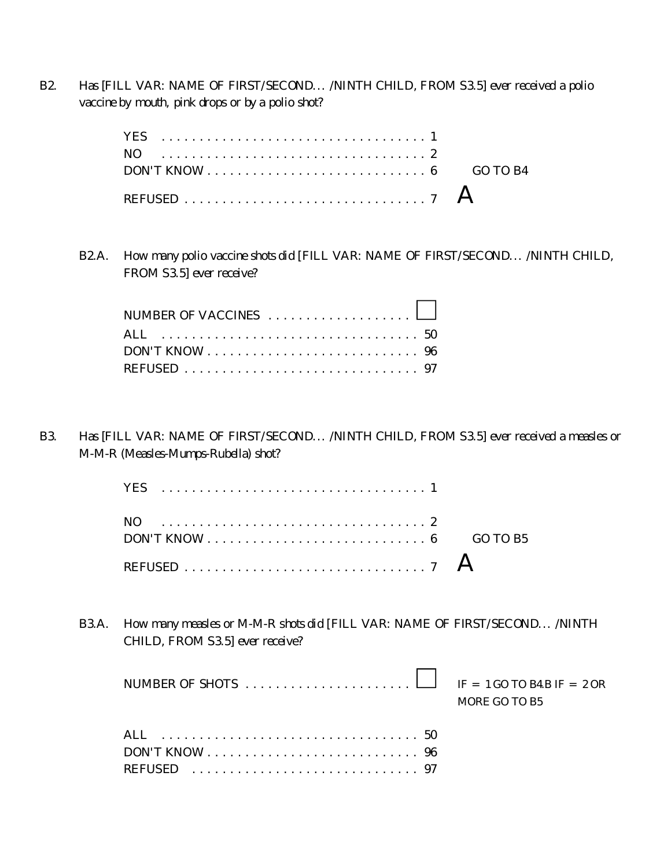B2. H as [FILL VAR: NAME OF FIRST/SECOND... /NINTH CHILD, FROM S3.5] ever received a polio vaccine by m outh, pink drops or by a polio shot?

| $DON'TKNOW \ldots \ldots \ldots \ldots \ldots \ldots \ldots \ldots 6$ GO TO B4 |  |
|--------------------------------------------------------------------------------|--|
|                                                                                |  |
|                                                                                |  |

B2.A. How many polio vaccine shots did [FILL VAR: NAME OF FIRST/SECOND... AINTH CHILD, FROM S3.5] ever receive?

| NUM BER OF VACCINES $\ldots \ldots \ldots \ldots \ldots$ |  |
|----------------------------------------------------------|--|
|                                                          |  |
|                                                          |  |
| REFUSED  97                                              |  |

B3. H as [FILL VAR: NAME OF FIRST/SECOND... /NINTH CHILD, FROM S3.5] ever received a measles or  $M - M - R$  (Me as les-M um ps-R ubella) shot?

| $\text{DON}$ T KNOW $\ldots$ $\ldots$ $\ldots$ $\ldots$ $\ldots$ $\ldots$ $\ldots$ $\ldots$ 6 GO TO B5 |  |
|--------------------------------------------------------------------------------------------------------|--|
|                                                                                                        |  |
|                                                                                                        |  |

B3.A. How many measles or M-M-R shots did [FILL VAR: NAME OF FIRST/SECOND... AINTH CHILD, FROM S3.5] ever receive?

|                                                                               | MORE GO TO B5 |
|-------------------------------------------------------------------------------|---------------|
|                                                                               |               |
| $DON'TKNOW \ldots \ldots \ldots \ldots \ldots \ldots \ldots \ldots \ldots 96$ |               |
|                                                                               |               |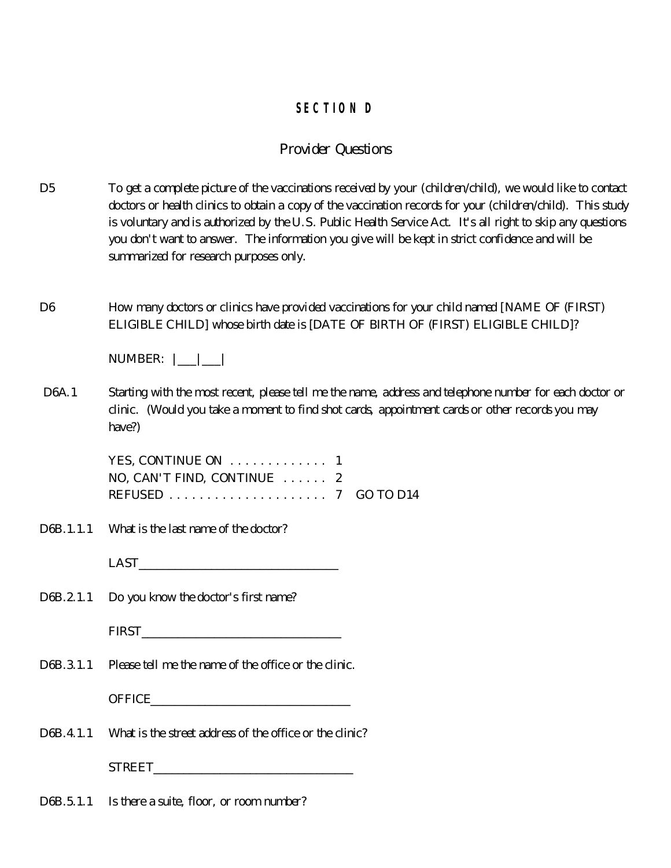## **SECTIO N D**

## *Provide r Ques tions*

- $D<sub>5</sub>$ To get a complete picture of the vaccinations received by your (children/child), we would like to contact doctors or health clinics to obtain a copy of the vaccination records for your (children/child). This study is voluntary and is authorized by the U.S. Public H ealth Service Act. It's all right to skip any questions you don't w ant to answer. The inform ation you give will be kept in strict confidence and will be summ arized for research purposes only.
- D<sub>6</sub> H ow many doctors or clinics have provided vaccinations for your child named [NAME OF (FIRST) ELIGIBLE CHILD ] whose birth date is [DATE OF BIRTH OF (FIRST) ELIGIBLE CHILD ]?

| NUM BER |  |  |  |
|---------|--|--|--|
|---------|--|--|--|

 D 6A.1 Starting with the most recent, please tell me the name, address and telephone number for each doctor or clinic. (W ould you take a m om ent to find shot cards, appointm ent cards or other records you may have  $\partial$ 

> YES, CONTINUE ON ............ . 1 NO, CAN'T FIND, CONTINUE ...... 2 REFUSED .................... . 7 GO TO D 14

D 6B.1.1.1 What is the last name of the doctor?

 $\text{LAST}$ 

D 6B.2.1.1 Do you know the doctor's first name?

| <b>FIRST</b><br>_____ |  |  |  |
|-----------------------|--|--|--|
|                       |  |  |  |

D 6B.3.1.1 Please tell me the name of the office or the clinic.

 $0$  FFICE

D<sub>6</sub>B.4.1.1 What is the street address of the office or the clinic?

STREET\_\_\_\_\_\_\_\_\_\_\_\_\_\_\_\_\_\_\_\_\_\_\_\_\_\_\_\_\_\_\_\_\_

D 6B.5.1.1 Is there a suite, floor, or room number?